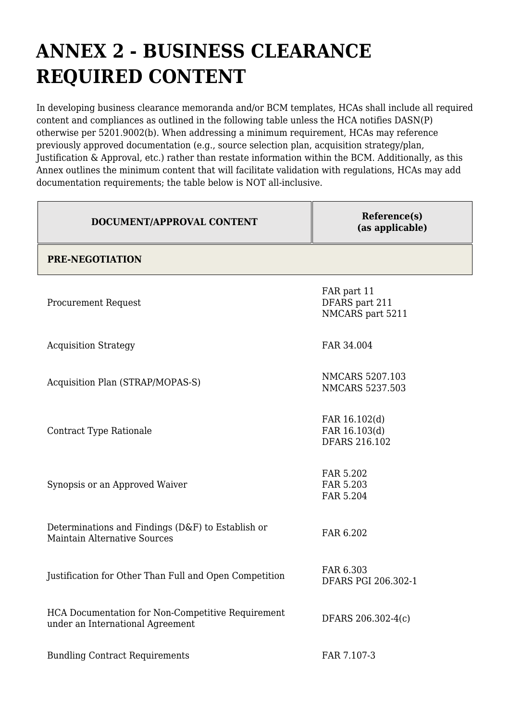## **ANNEX 2 - BUSINESS CLEARANCE REQUIRED CONTENT**

In developing business clearance memoranda and/or BCM templates, HCAs shall include all required content and compliances as outlined in the following table unless the HCA notifies DASN(P) otherwise per 5201.9002(b). When addressing a minimum requirement, HCAs may reference previously approved documentation (e.g., source selection plan, acquisition strategy/plan, Justification & Approval, etc.) rather than restate information within the BCM. Additionally, as this Annex outlines the minimum content that will facilitate validation with regulations, HCAs may add documentation requirements; the table below is NOT all-inclusive.

| DOCUMENT/APPROVAL CONTENT                                                                | Reference(s)<br>(as applicable)                        |
|------------------------------------------------------------------------------------------|--------------------------------------------------------|
| <b>PRE-NEGOTIATION</b>                                                                   |                                                        |
| <b>Procurement Request</b>                                                               | FAR part 11<br>DFARS part 211<br>NMCARS part 5211      |
| <b>Acquisition Strategy</b>                                                              | FAR 34.004                                             |
| Acquisition Plan (STRAP/MOPAS-S)                                                         | <b>NMCARS 5207.103</b><br><b>NMCARS 5237.503</b>       |
| Contract Type Rationale                                                                  | FAR 16.102(d)<br>FAR 16.103(d)<br><b>DFARS 216.102</b> |
| Synopsis or an Approved Waiver                                                           | FAR 5.202<br>FAR 5.203<br>FAR 5.204                    |
| Determinations and Findings (D&F) to Establish or<br><b>Maintain Alternative Sources</b> | FAR 6.202                                              |
| Justification for Other Than Full and Open Competition                                   | FAR 6.303<br>DFARS PGI 206.302-1                       |
| HCA Documentation for Non-Competitive Requirement<br>under an International Agreement    | DFARS 206.302-4(c)                                     |
| <b>Bundling Contract Requirements</b>                                                    | FAR 7.107-3                                            |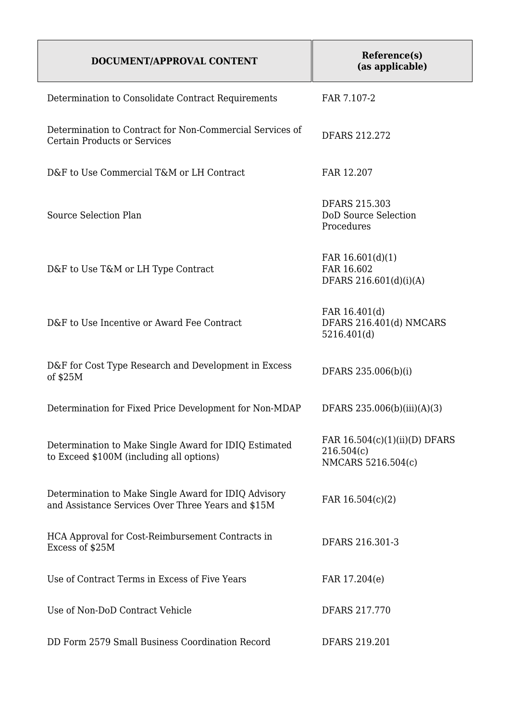| DOCUMENT/APPROVAL CONTENT                                                                                  | Reference(s)<br>(as applicable)                                     |
|------------------------------------------------------------------------------------------------------------|---------------------------------------------------------------------|
| Determination to Consolidate Contract Requirements                                                         | FAR 7.107-2                                                         |
| Determination to Contract for Non-Commercial Services of<br><b>Certain Products or Services</b>            | <b>DFARS 212.272</b>                                                |
| D&F to Use Commercial T&M or LH Contract                                                                   | FAR 12.207                                                          |
| Source Selection Plan                                                                                      | <b>DFARS 215.303</b><br>DoD Source Selection<br>Procedures          |
| D&F to Use T&M or LH Type Contract                                                                         | FAR 16.601(d)(1)<br>FAR 16.602<br>DFARS 216.601(d)(i)(A)            |
| D&F to Use Incentive or Award Fee Contract                                                                 | FAR 16.401(d)<br>DFARS 216.401(d) NMCARS<br>5216.401(d)             |
| D&F for Cost Type Research and Development in Excess<br>of \$25M                                           | DFARS 235.006(b)(i)                                                 |
| Determination for Fixed Price Development for Non-MDAP                                                     | DFARS 235.006(b)(iii)(A)(3)                                         |
| Determination to Make Single Award for IDIQ Estimated<br>to Exceed \$100M (including all options)          | FAR $16.504(c)(1)(ii)(D)$ DFARS<br>216.504(c)<br>NMCARS 5216.504(c) |
| Determination to Make Single Award for IDIQ Advisory<br>and Assistance Services Over Three Years and \$15M | FAR $16.504(c)(2)$                                                  |
| HCA Approval for Cost-Reimbursement Contracts in<br>Excess of \$25M                                        | DFARS 216.301-3                                                     |
| Use of Contract Terms in Excess of Five Years                                                              | FAR 17.204(e)                                                       |
| Use of Non-DoD Contract Vehicle                                                                            | DFARS 217.770                                                       |
| DD Form 2579 Small Business Coordination Record                                                            | <b>DFARS 219.201</b>                                                |

 $\overline{\phantom{a}}$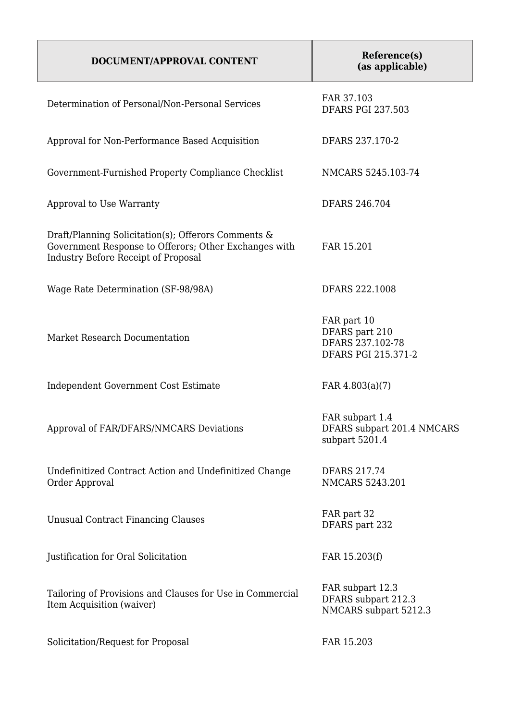## **DOCUMENT/APPROVAL CONTENT**

| Determination of Personal/Non-Personal Services                                                                                                            | FAR 37.103<br><b>DFARS PGI 237.503</b>                                   |
|------------------------------------------------------------------------------------------------------------------------------------------------------------|--------------------------------------------------------------------------|
| Approval for Non-Performance Based Acquisition                                                                                                             | DFARS 237.170-2                                                          |
| Government-Furnished Property Compliance Checklist                                                                                                         | NMCARS 5245.103-74                                                       |
| Approval to Use Warranty                                                                                                                                   | DFARS 246.704                                                            |
| Draft/Planning Solicitation(s); Offerors Comments &<br>Government Response to Offerors; Other Exchanges with<br><b>Industry Before Receipt of Proposal</b> | FAR 15.201                                                               |
| Wage Rate Determination (SF-98/98A)                                                                                                                        | DFARS 222.1008                                                           |
| Market Research Documentation                                                                                                                              | FAR part 10<br>DFARS part 210<br>DFARS 237.102-78<br>DFARS PGI 215.371-2 |
| Independent Government Cost Estimate                                                                                                                       | FAR $4.803(a)(7)$                                                        |
| Approval of FAR/DFARS/NMCARS Deviations                                                                                                                    | FAR subpart 1.4<br>DFARS subpart 201.4 NMCARS<br>subpart 5201.4          |
| Undefinitized Contract Action and Undefinitized Change<br>Order Approval                                                                                   | <b>DFARS 217.74</b><br><b>NMCARS 5243.201</b>                            |
| <b>Unusual Contract Financing Clauses</b>                                                                                                                  | FAR part 32<br>DFARS part 232                                            |
| Justification for Oral Solicitation                                                                                                                        | FAR 15.203(f)                                                            |
| Tailoring of Provisions and Clauses for Use in Commercial<br>Item Acquisition (waiver)                                                                     | FAR subpart 12.3<br>DFARS subpart 212.3<br>NMCARS subpart 5212.3         |
| Solicitation/Request for Proposal                                                                                                                          | FAR 15.203                                                               |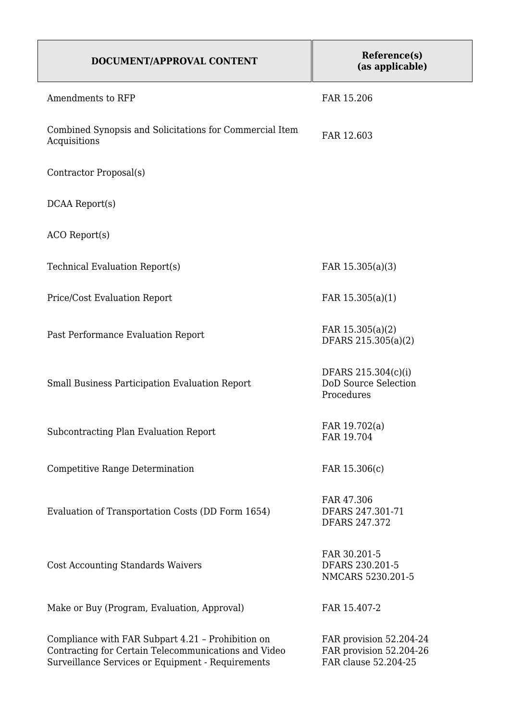| DOCUMENT/APPROVAL CONTENT                                                                                                                                      | Reference(s)<br>(as applicable)                                            |
|----------------------------------------------------------------------------------------------------------------------------------------------------------------|----------------------------------------------------------------------------|
| Amendments to RFP                                                                                                                                              | FAR 15.206                                                                 |
| Combined Synopsis and Solicitations for Commercial Item<br>Acquisitions                                                                                        | FAR 12.603                                                                 |
| Contractor Proposal(s)                                                                                                                                         |                                                                            |
| DCAA Report(s)                                                                                                                                                 |                                                                            |
| ACO Report(s)                                                                                                                                                  |                                                                            |
| Technical Evaluation Report(s)                                                                                                                                 | FAR 15.305(a)(3)                                                           |
| Price/Cost Evaluation Report                                                                                                                                   | FAR $15.305(a)(1)$                                                         |
| Past Performance Evaluation Report                                                                                                                             | FAR $15.305(a)(2)$<br>DFARS 215.305(a)(2)                                  |
| Small Business Participation Evaluation Report                                                                                                                 | DFARS 215.304(c)(i)<br><b>DoD Source Selection</b><br>Procedures           |
| Subcontracting Plan Evaluation Report                                                                                                                          | FAR 19.702(a)<br>FAR 19.704                                                |
| Competitive Range Determination                                                                                                                                | FAR 15.306(c)                                                              |
| Evaluation of Transportation Costs (DD Form 1654)                                                                                                              | FAR 47.306<br>DFARS 247.301-71<br>DFARS 247.372                            |
| <b>Cost Accounting Standards Waivers</b>                                                                                                                       | FAR 30.201-5<br>DFARS 230.201-5<br>NMCARS 5230.201-5                       |
| Make or Buy (Program, Evaluation, Approval)                                                                                                                    | FAR 15.407-2                                                               |
| Compliance with FAR Subpart 4.21 - Prohibition on<br>Contracting for Certain Telecommunications and Video<br>Surveillance Services or Equipment - Requirements | FAR provision 52.204-24<br>FAR provision 52.204-26<br>FAR clause 52.204-25 |

 $\overline{\phantom{a}}$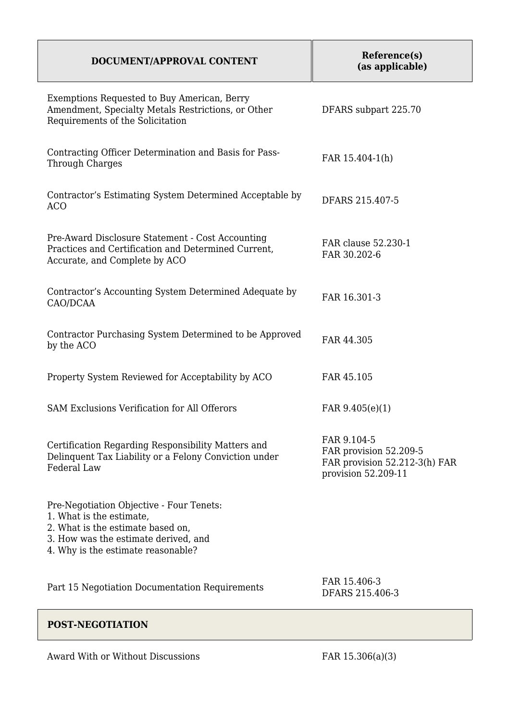| DOCUMENT/APPROVAL CONTENT                                                                                                                                                               | Reference(s)<br>(as applicable)                                                               |
|-----------------------------------------------------------------------------------------------------------------------------------------------------------------------------------------|-----------------------------------------------------------------------------------------------|
| Exemptions Requested to Buy American, Berry<br>Amendment, Specialty Metals Restrictions, or Other<br>Requirements of the Solicitation                                                   | DFARS subpart 225.70                                                                          |
| Contracting Officer Determination and Basis for Pass-<br><b>Through Charges</b>                                                                                                         | FAR 15.404-1(h)                                                                               |
| Contractor's Estimating System Determined Acceptable by<br><b>ACO</b>                                                                                                                   | DFARS 215.407-5                                                                               |
| Pre-Award Disclosure Statement - Cost Accounting<br>Practices and Certification and Determined Current,<br>Accurate, and Complete by ACO                                                | FAR clause 52.230-1<br>FAR 30.202-6                                                           |
| Contractor's Accounting System Determined Adequate by<br>CAO/DCAA                                                                                                                       | FAR 16.301-3                                                                                  |
| Contractor Purchasing System Determined to be Approved<br>by the ACO                                                                                                                    | FAR 44.305                                                                                    |
| Property System Reviewed for Acceptability by ACO                                                                                                                                       | FAR 45.105                                                                                    |
| <b>SAM Exclusions Verification for All Offerors</b>                                                                                                                                     | FAR $9.405(e)(1)$                                                                             |
| Certification Regarding Responsibility Matters and<br>Delinquent Tax Liability or a Felony Conviction under<br>Federal Law                                                              | FAR 9.104-5<br>FAR provision 52.209-5<br>FAR provision 52.212-3(h) FAR<br>provision 52.209-11 |
| Pre-Negotiation Objective - Four Tenets:<br>1. What is the estimate,<br>2. What is the estimate based on,<br>3. How was the estimate derived, and<br>4. Why is the estimate reasonable? |                                                                                               |
| Part 15 Negotiation Documentation Requirements                                                                                                                                          | FAR 15.406-3<br>DFARS 215.406-3                                                               |

## **POST-NEGOTIATION**